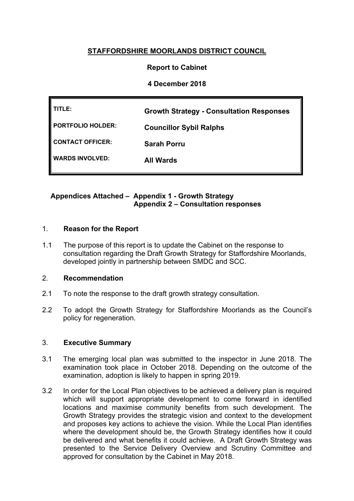# **STAFFORDSHIRE MOORLANDS DISTRICT COUNCIL**

### **Report to Cabinet**

### **4 December 2018**

| TITLE:                 | <b>Growth Strategy - Consultation Responses</b> |
|------------------------|-------------------------------------------------|
| PORTFOLIO HOLDER:      | <b>Councillor Sybil Ralphs</b>                  |
| CONTACT OFFICER:       | <b>Sarah Porru</b>                              |
| <b>WARDS INVOLVED:</b> | <b>All Wards</b>                                |
|                        |                                                 |

### **Appendices Attached – Appendix 1 - Growth Strategy Appendix 2 – Consultation responses**

#### 1. **Reason for the Report**

1.1 The purpose of this report is to update the Cabinet on the response to consultation regarding the Draft Growth Strategy for Staffordshire Moorlands, developed jointly in partnership between SMDC and SCC.

### 2. **Recommendation**

- 2.1 To note the response to the draft growth strategy consultation.
- 2.2 To adopt the Growth Strategy for Staffordshire Moorlands as the Council's policy for regeneration.

#### 3. **Executive Summary**

- 3.1 The emerging local plan was submitted to the inspector in June 2018. The examination took place in October 2018. Depending on the outcome of the examination, adoption is likely to happen in spring 2019.
- 3.2 In order for the Local Plan objectives to be achieved a delivery plan is required which will support appropriate development to come forward in identified locations and maximise community benefits from such development. The Growth Strategy provides the strategic vision and context to the development and proposes key actions to achieve the vision. While the Local Plan identifies where the development should be, the Growth Strategy identifies how it could be delivered and what benefits it could achieve. A Draft Growth Strategy was presented to the Service Delivery Overview and Scrutiny Committee and approved for consultation by the Cabinet in May 2018.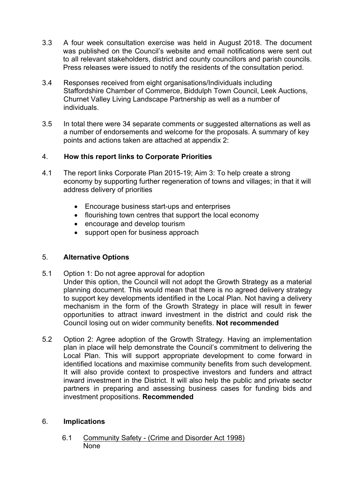- 3.3 A four week consultation exercise was held in August 2018. The document was published on the Council's website and email notifications were sent out to all relevant stakeholders, district and county councillors and parish councils. Press releases were issued to notify the residents of the consultation period.
- 3.4 Responses received from eight organisations/Individuals including Staffordshire Chamber of Commerce, Biddulph Town Council, Leek Auctions, Churnet Valley Living Landscape Partnership as well as a number of individuals.
- 3.5 In total there were 34 separate comments or suggested alternations as well as a number of endorsements and welcome for the proposals. A summary of key points and actions taken are attached at appendix 2:

## 4. **How this report links to Corporate Priorities**

- 4.1 The report links Corporate Plan 2015-19; Aim 3: To help create a strong economy by supporting further regeneration of towns and villages; in that it will address delivery of priorities
	- Encourage business start-ups and enterprises
	- flourishing town centres that support the local economy
	- encourage and develop tourism
	- support open for business approach

## 5. **Alternative Options**

- 5.1 Option 1: Do not agree approval for adoption Under this option, the Council will not adopt the Growth Strategy as a material planning document. This would mean that there is no agreed delivery strategy to support key developments identified in the Local Plan. Not having a delivery mechanism in the form of the Growth Strategy in place will result in fewer opportunities to attract inward investment in the district and could risk the Council losing out on wider community benefits. **Not recommended**
- 5.2 Option 2: Agree adoption of the Growth Strategy. Having an implementation plan in place will help demonstrate the Council's commitment to delivering the Local Plan. This will support appropriate development to come forward in identified locations and maximise community benefits from such development. It will also provide context to prospective investors and funders and attract inward investment in the District. It will also help the public and private sector partners in preparing and assessing business cases for funding bids and investment propositions. **Recommended**

## 6. **Implications**

6.1 Community Safety - (Crime and Disorder Act 1998) None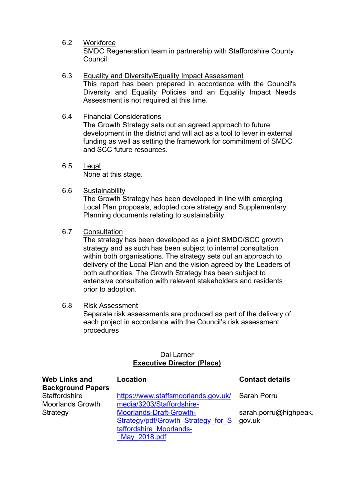6.2 Workforce

SMDC Regeneration team in partnership with Staffordshire County Council

- 6.3 Equality and Diversity/Equality Impact Assessment This report has been prepared in accordance with the Council's Diversity and Equality Policies and an Equality Impact Needs Assessment is not required at this time.
- 6.4 Financial Considerations

The Growth Strategy sets out an agreed approach to future development in the district and will act as a tool to lever in external funding as well as setting the framework for commitment of SMDC and SCC future resources.

- 6.5 Legal None at this stage.
- 6.6 Sustainability

The Growth Strategy has been developed in line with emerging Local Plan proposals, adopted core strategy and Supplementary Planning documents relating to sustainability.

6.7 Consultation

The strategy has been developed as a joint SMDC/SCC growth strategy and as such has been subject to internal consultation within both organisations. The strategy sets out an approach to delivery of the Local Plan and the vision agreed by the Leaders of both authorities. The Growth Strategy has been subject to extensive consultation with relevant stakeholders and residents prior to adoption.

6.8 Risk Assessment

Separate risk assessments are produced as part of the delivery of each project in accordance with the Council's risk assessment procedures

### Dai Larner **Executive Director (Place)**

| <b>Web Links and</b><br><b>Background Papers</b> | Location                            | <b>Contact details</b> |
|--------------------------------------------------|-------------------------------------|------------------------|
| Staffordshire                                    | https://www.staffsmoorlands.gov.uk/ | Sarah Porru            |
| <b>Moorlands Growth</b>                          | media/3203/Staffordshire-           |                        |
| Strategy                                         | <b>Moorlands-Draft-Growth-</b>      | sarah.porru@highpeak.  |
|                                                  | Strategy/pdf/Growth Strategy for S  | gov.uk                 |
|                                                  | taffordshire Moorlands-             |                        |
|                                                  | May 2018.pdf                        |                        |